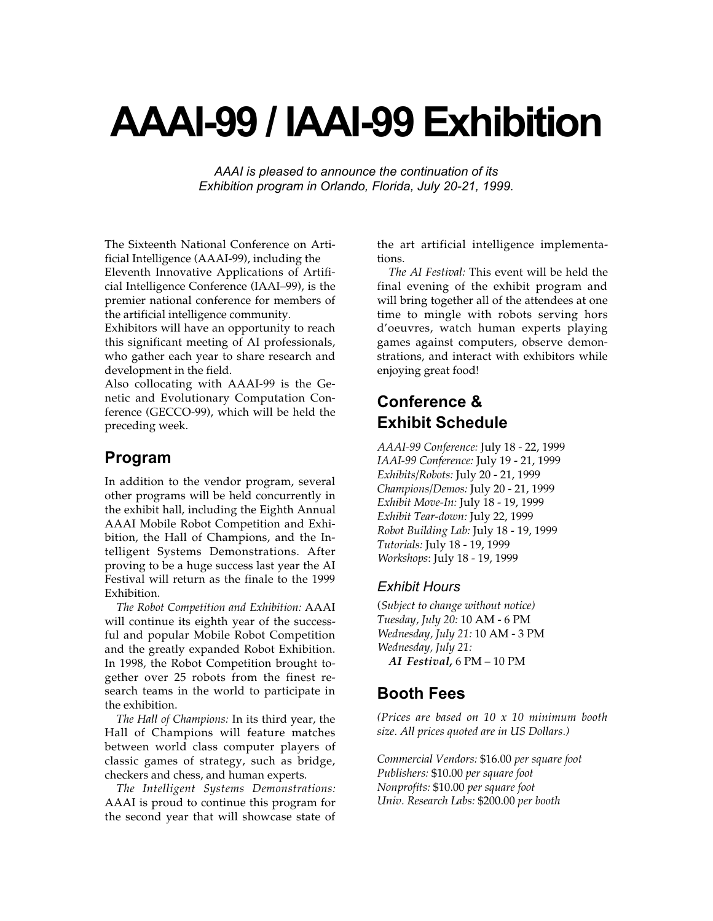# **AAAI-99 / IAAI-99 Exhibition**

*AAAI is pleased to announce the continuation of its Exhibition program in Orlando, Florida, July 20-21, 1999.*

The Sixteenth National Conference on Artificial Intelligence (AAAI-99), including the Eleventh Innovative Applications of Artificial Intelligence Conference (IAAI–99), is the premier national conference for members of the artificial intelligence community.

Exhibitors will have an opportunity to reach this significant meeting of AI professionals, who gather each year to share research and development in the field.

Also collocating with AAAI-99 is the Genetic and Evolutionary Computation Conference (GECCO-99), which will be held the preceding week.

#### **Program**

In addition to the vendor program, several other programs will be held concurrently in the exhibit hall, including the Eighth Annual AAAI Mobile Robot Competition and Exhibition, the Hall of Champions, and the Intelligent Systems Demonstrations. After proving to be a huge success last year the AI Festival will return as the finale to the 1999 Exhibition.

*The Robot Competition and Exhibition:* AAAI will continue its eighth year of the successful and popular Mobile Robot Competition and the greatly expanded Robot Exhibition. In 1998, the Robot Competition brought together over 25 robots from the finest research teams in the world to participate in the exhibition.

*The Hall of Champions:* In its third year, the Hall of Champions will feature matches between world class computer players of classic games of strategy, such as bridge, checkers and chess, and human experts.

*The Intelligent Systems Demonstrations:* AAAI is proud to continue this program for the second year that will showcase state of the art artificial intelligence implementations.

*The AI Festival:* This event will be held the final evening of the exhibit program and will bring together all of the attendees at one time to mingle with robots serving hors d'oeuvres, watch human experts playing games against computers, observe demonstrations, and interact with exhibitors while enjoying great food!

## **Conference & Exhibit Schedule**

*AAAI-99 Conference:* July 18 - 22, 1999 *IAAI-99 Conference:* July 19 - 21, 1999 *Exhibits/Robots:* July 20 - 21, 1999 *Champions/Demos:* July 20 - 21, 1999 *Exhibit Move-In:* July 18 - 19, 1999 *Exhibit Tear-down:* July 22, 1999 *Robot Building Lab:* July 18 - 19, 1999 *Tutorials:* July 18 - 19, 1999 *Workshops*: July 18 - 19, 1999

#### *Exhibit Hours*

(*Subject to change without notice) Tuesday, July 20:* 10 AM - 6 PM *Wednesday, July 21:* 10 AM - 3 PM *Wednesday, July 21: AI Festival***,** 6 PM – 10 PM

### **Booth Fees**

*(Prices are based on 10 x 10 minimum booth size. All prices quoted are in US Dollars.)*

*Commercial Vendors:* \$16.00 *per square foot Publishers:* \$10.00 *per square foot Nonprofits:* \$10.00 *per square foot Univ. Research Labs:* \$200.00 *per booth*